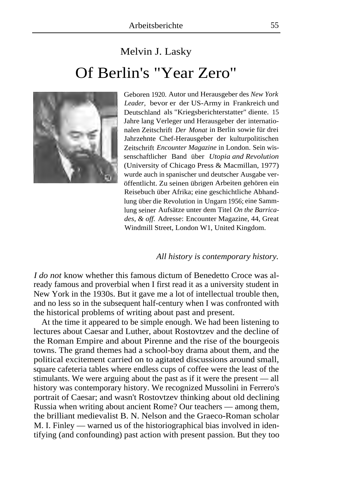## Melvin J. Lasky Of Berlin's "Year Zero"



Geboren 1920. Autor und Herausgeber des *New York Leader,* bevor er der US-Army in Frankreich und Deutschland als "Kriegsberichterstatter" diente. 15 Jahre lang Verleger und Herausgeber der internationalen Zeitschrift *Der Monat* in Berlin sowie für drei Jahrzehnte Chef-Herausgeber der kulturpolitischen Zeitschrift *Encounter Magazine* in London. Sein wissenschaftlicher Band über *Utopia and Revolution*  (University of Chicago Press & Macmillan, 1977) wurde auch in spanischer und deutscher Ausgabe veröffentlicht. Zu seinen übrigen Arbeiten gehören ein Reisebuch über Afrika; eine geschichtliche Abhandlung über die Revolution in Ungarn 1956; eine Sammlung seiner Aufsätze unter dem Titel *On the Barricades, & off.* Adresse: Encounter Magazine, 44, Great Windmill Street, London W1, United Kingdom.

## *All history is contemporary history.*

*I do not* know whether this famous dictum of Benedetto Croce was already famous and proverbial when I first read it as a university student in New York in the 1930s. But it gave me a lot of intellectual trouble then, and no less so in the subsequent half-century when I was confronted with the historical problems of writing about past and present.

At the time it appeared to be simple enough. We had been listening to lectures about Caesar and Luther, about Rostovtzev and the decline of the Roman Empire and about Pirenne and the rise of the bourgeois towns. The grand themes had a school-boy drama about them, and the political excitement carried on to agitated discussions around small, square cafeteria tables where endless cups of coffee were the least of the stimulants. We were arguing about the past as if it were the present — all history was contemporary history. We recognized Mussolini in Ferrero's portrait of Caesar; and wasn't Rostovtzev thinking about old declining Russia when writing about ancient Rome? Our teachers — among them, the brilliant medievalist B. N. Nelson and the Graeco-Roman scholar M. I. Finley — warned us of the historiographical bias involved in identifying (and confounding) past action with present passion. But they too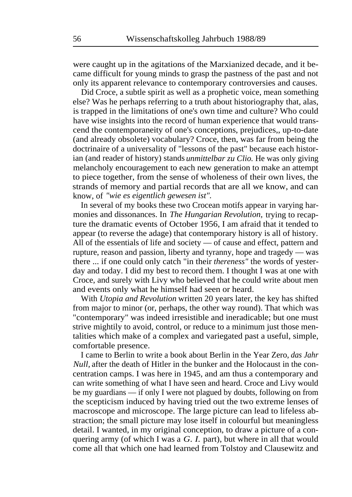were caught up in the agitations of the Marxianized decade, and it became difficult for young minds to grasp the pastness of the past and not only its apparent relevance to contemporary controversies and causes.

Did Croce, a subtle spirit as well as a prophetic voice, mean something else? Was he perhaps referring to a truth about historiography that, alas, is trapped in the limitations of one's own time and culture? Who could have wise insights into the record of human experience that would transcend the contemporaneity of one's conceptions, prejudices,, up-to-date (and already obsolete) vocabulary? Croce, then, was far from being the doctrinaire of a universality of "lessons of the past" because each historian (and reader of history) stands *unmittelbar zu Clio.* He was only giving melancholy encouragement to each new generation to make an attempt to piece together, from the sense of wholeness of their own lives, the strands of memory and partial records that are all we know, and can know, of *"wie es eigentlich gewesen ist".* 

In several of my books these two Crocean motifs appear in varying harmonies and dissonances. In *The Hungarian Revolution,* trying to recapture the dramatic events of October 1956, I am afraid that it tended to appear (to reverse the adage) that contemporary history is all of history. All of the essentials of life and society — of cause and effect, pattern and rupture, reason and passion, liberty and tyranny, hope and tragedy — was there ... if one could only catch "in their *thereness"* the words of yesterday and today. I did my best to record them. I thought I was at one with Croce, and surely with Livy who believed that he could write about men and events only what he himself had seen or heard.

With *Utopia and Revolution* written 20 years later, the key has shifted from major to minor (or, perhaps, the other way round). That which was "contemporary" was indeed irresistible and ineradicable; but one must strive mightily to avoid, control, or reduce to a minimum just those mentalities which make of a complex and variegated past a useful, simple, comfortable presence.

I came to Berlin to write a book about Berlin in the Year Zero, *das Jahr Null,* after the death of Hitler in the bunker and the Holocaust in the concentration camps. I was here in 1945, and am thus a contemporary and can write something of what I have seen and heard. Croce and Livy would be my guardians — if only I were not plagued by doubts, following on from the scepticism induced by having tried out the two extreme lenses of macroscope and microscope. The large picture can lead to lifeless abstraction; the small picture may lose itself in colourful but meaningless detail. I wanted, in my original conception, to draw a picture of a conquering army (of which I was a *G. I.* part), but where in all that would come all that which one had learned from Tolstoy and Clausewitz and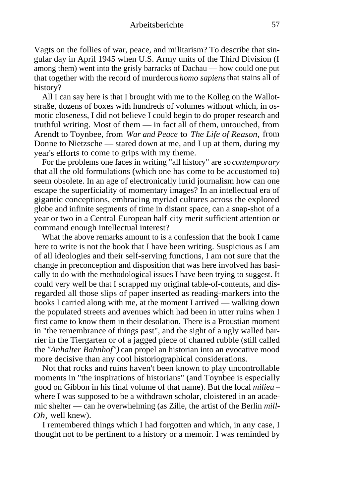Vagts on the follies of war, peace, and militarism? To describe that singular day in April 1945 when U.S. Army units of the Third Division (I among them) went into the grisly barracks of Dachau — how could one put that together with the record of murderous *homo sapiens* that stains all of history?

All I can say here is that I brought with me to the Kolleg on the Wallotstraße, dozens of boxes with hundreds of volumes without which, in osmotic closeness, I did not believe I could begin to do proper research and truthful writing. Most of them — in fact all of them, untouched, from Arendt to Toynbee, from *War and Peace* to *The Life of Reason,* from Donne to Nietzsche — stared down at me, and I up at them, during my year's efforts to come to grips with my theme.

For the problems one faces in writing "all history" are so *contemporary*  that all the old formulations (which one has come to be accustomed to) seem obsolete. In an age of electronically lurid journalism how can one escape the superficiality of momentary images? In an intellectual era of gigantic conceptions, embracing myriad cultures across the explored globe and infinite segments of time in distant space, can a snap-shot of a year or two in a Central-European half-city merit sufficient attention or command enough intellectual interest?

What the above remarks amount to is a confession that the book I came here to write is not the book that I have been writing. Suspicious as I am of all ideologies and their self-serving functions, I am not sure that the change in preconception and disposition that was here involved has basically to do with the methodological issues I have been trying to suggest. It could very well be that I scrapped my original table-of-contents, and disregarded all those slips of paper inserted as reading-markers into the books I carried along with me, at the moment I arrived — walking down the populated streets and avenues which had been in utter ruins when I first came to know them in their desolation. There is a Proustian moment in "the remembrance of things past", and the sight of a ugly walled barrier in the Tiergarten or of a jagged piece of charred rubble (still called the *"Anhalter Bahnhof")* can propel an historian into an evocative mood more decisive than any cool historiographical considerations.

Not that rocks and ruins haven't been known to play uncontrollable moments in "the inspirations of historians" (and Toynbee is especially good on Gibbon in his final volume of that name). But the local *milieu*  where I was supposed to be a withdrawn scholar, cloistered in an academic shelter — can he overwhelming (as Zille, the artist of the Berlin *mill-Oh,* well knew).

I remembered things which I had forgotten and which, in any case, I thought not to be pertinent to a history or a memoir. I was reminded by